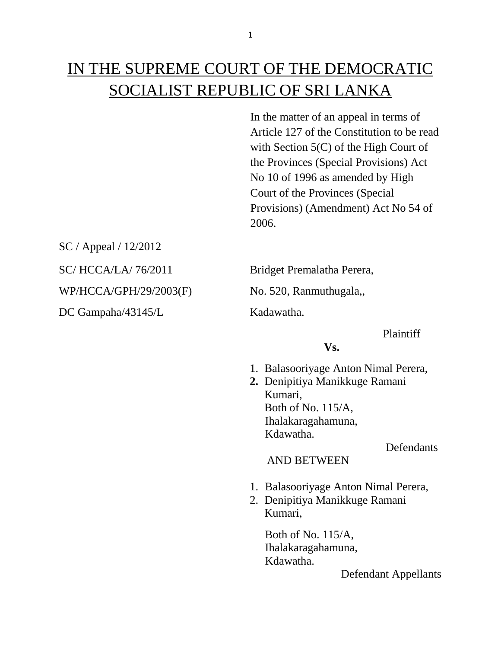# IN THE SUPREME COURT OF THE DEMOCRATIC SOCIALIST REPUBLIC OF SRI LANKA

In the matter of an appeal in terms of Article 127 of the Constitution to be read with Section 5(C) of the High Court of the Provinces (Special Provisions) Act No 10 of 1996 as amended by High Court of the Provinces (Special Provisions) (Amendment) Act No 54 of 2006.

SC / Appeal / 12/2012

WP/HCCA/GPH/29/2003(F) No. 520, Ranmuthugala,,

DC Gampaha/43145/L Kadawatha.

SC/ HCCA/LA/ 76/2011 Bridget Premalatha Perera,

## Plaintiff

# **Vs.**

- 1. Balasooriyage Anton Nimal Perera,
- **2.** Denipitiya Manikkuge Ramani Kumari, Both of No. 115/A, Ihalakaragahamuna, Kdawatha.

**Defendants** 

# AND BETWEEN

- 1. Balasooriyage Anton Nimal Perera,
- 2. Denipitiya Manikkuge Ramani Kumari,

Both of No. 115/A, Ihalakaragahamuna, Kdawatha.

Defendant Appellants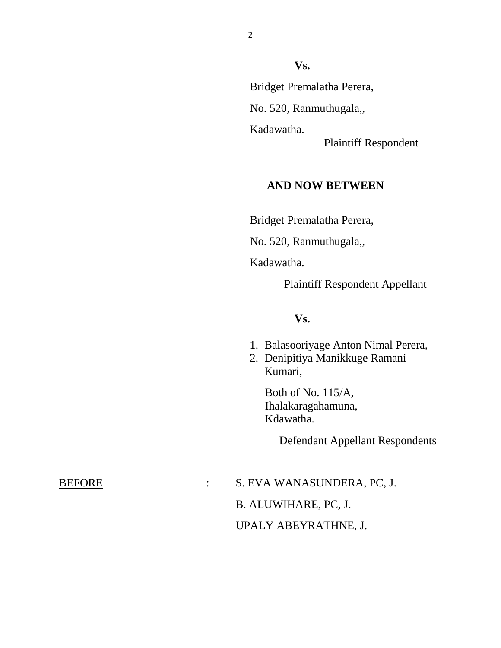#### **Vs.**

 Bridget Premalatha Perera, No. 520, Ranmuthugala,, Kadawatha.

Plaintiff Respondent

## **AND NOW BETWEEN**

Bridget Premalatha Perera,

No. 520, Ranmuthugala,,

Kadawatha.

Plaintiff Respondent Appellant

#### **Vs.**

- 1. Balasooriyage Anton Nimal Perera,
- 2. Denipitiya Manikkuge Ramani Kumari,

Both of No. 115/A, Ihalakaragahamuna, Kdawatha.

Defendant Appellant Respondents

BEFORE : S. EVA WANASUNDERA, PC, J.

B. ALUWIHARE, PC, J.

#### UPALY ABEYRATHNE, J.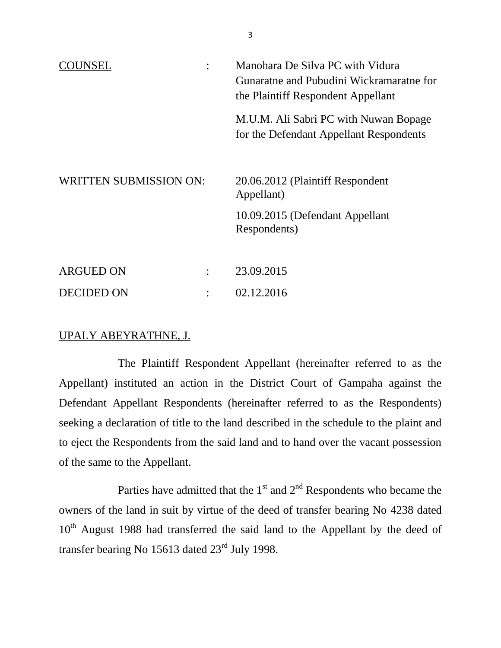|                               |           | Manohara De Silva PC with Vidura<br>Gunaratne and Pubudini Wickramaratne for<br>the Plaintiff Respondent Appellant |
|-------------------------------|-----------|--------------------------------------------------------------------------------------------------------------------|
|                               |           | M.U.M. Ali Sabri PC with Nuwan Bopage<br>for the Defendant Appellant Respondents                                   |
| <b>WRITTEN SUBMISSION ON:</b> |           | 20.06.2012 (Plaintiff Respondent<br>Appellant)                                                                     |
|                               |           | 10.09.2015 (Defendant Appellant<br>Respondents)                                                                    |
| <b>ARGUED ON</b>              | $\bullet$ | 23.09.2015                                                                                                         |
| <b>DECIDED ON</b>             |           | 02.12.2016                                                                                                         |

#### UPALY ABEYRATHNE, J.

The Plaintiff Respondent Appellant (hereinafter referred to as the Appellant) instituted an action in the District Court of Gampaha against the Defendant Appellant Respondents (hereinafter referred to as the Respondents) seeking a declaration of title to the land described in the schedule to the plaint and to eject the Respondents from the said land and to hand over the vacant possession of the same to the Appellant.

Parties have admitted that the  $1<sup>st</sup>$  and  $2<sup>nd</sup>$  Respondents who became the owners of the land in suit by virtue of the deed of transfer bearing No 4238 dated 10<sup>th</sup> August 1988 had transferred the said land to the Appellant by the deed of transfer bearing No 15613 dated 23<sup>rd</sup> July 1998.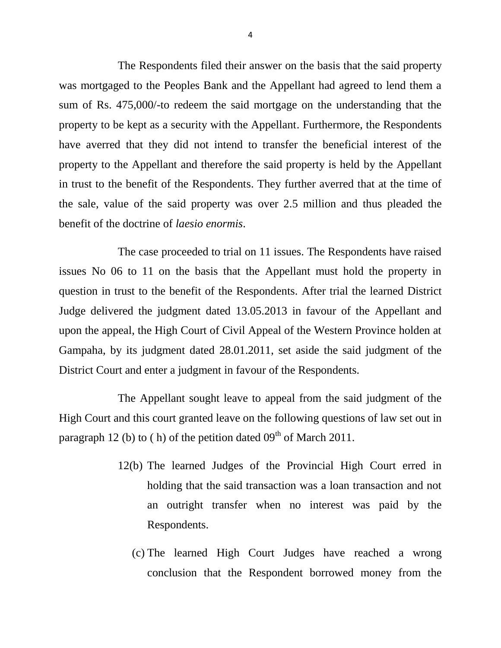The Respondents filed their answer on the basis that the said property was mortgaged to the Peoples Bank and the Appellant had agreed to lend them a sum of Rs. 475,000/-to redeem the said mortgage on the understanding that the property to be kept as a security with the Appellant. Furthermore, the Respondents have averred that they did not intend to transfer the beneficial interest of the property to the Appellant and therefore the said property is held by the Appellant in trust to the benefit of the Respondents. They further averred that at the time of the sale, value of the said property was over 2.5 million and thus pleaded the benefit of the doctrine of *laesio enormis*.

The case proceeded to trial on 11 issues. The Respondents have raised issues No 06 to 11 on the basis that the Appellant must hold the property in question in trust to the benefit of the Respondents. After trial the learned District Judge delivered the judgment dated 13.05.2013 in favour of the Appellant and upon the appeal, the High Court of Civil Appeal of the Western Province holden at Gampaha, by its judgment dated 28.01.2011, set aside the said judgment of the District Court and enter a judgment in favour of the Respondents.

The Appellant sought leave to appeal from the said judgment of the High Court and this court granted leave on the following questions of law set out in paragraph 12 (b) to (h) of the petition dated  $09<sup>th</sup>$  of March 2011.

- 12(b) The learned Judges of the Provincial High Court erred in holding that the said transaction was a loan transaction and not an outright transfer when no interest was paid by the Respondents.
	- (c) The learned High Court Judges have reached a wrong conclusion that the Respondent borrowed money from the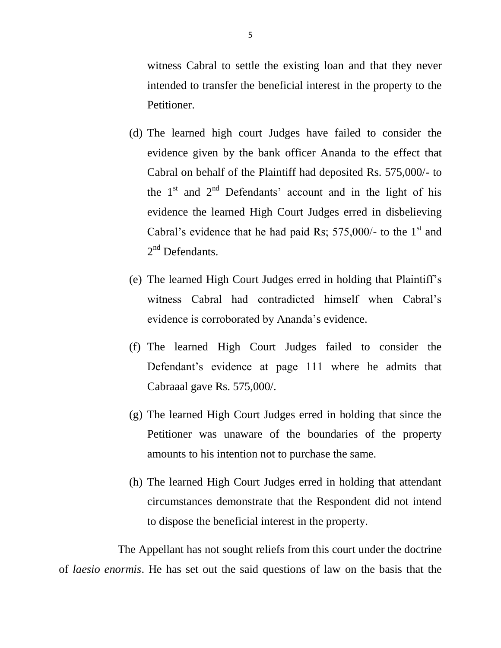witness Cabral to settle the existing loan and that they never intended to transfer the beneficial interest in the property to the Petitioner.

- (d) The learned high court Judges have failed to consider the evidence given by the bank officer Ananda to the effect that Cabral on behalf of the Plaintiff had deposited Rs. 575,000/- to the  $1<sup>st</sup>$  and  $2<sup>nd</sup>$  Defendants' account and in the light of his evidence the learned High Court Judges erred in disbelieving Cabral's evidence that he had paid Rs;  $575,000/$ - to the 1<sup>st</sup> and 2<sup>nd</sup> Defendants.
- (e) The learned High Court Judges erred in holding that Plaintiff's witness Cabral had contradicted himself when Cabral's evidence is corroborated by Ananda's evidence.
- (f) The learned High Court Judges failed to consider the Defendant's evidence at page 111 where he admits that Cabraaal gave Rs. 575,000/.
- (g) The learned High Court Judges erred in holding that since the Petitioner was unaware of the boundaries of the property amounts to his intention not to purchase the same.
- (h) The learned High Court Judges erred in holding that attendant circumstances demonstrate that the Respondent did not intend to dispose the beneficial interest in the property.

The Appellant has not sought reliefs from this court under the doctrine of *laesio enormis*. He has set out the said questions of law on the basis that the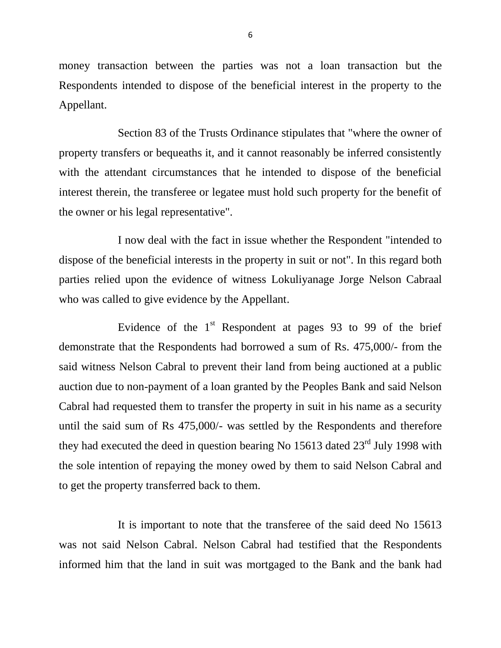money transaction between the parties was not a loan transaction but the Respondents intended to dispose of the beneficial interest in the property to the Appellant.

Section 83 of the Trusts Ordinance stipulates that "where the owner of property transfers or bequeaths it, and it cannot reasonably be inferred consistently with the attendant circumstances that he intended to dispose of the beneficial interest therein, the transferee or legatee must hold such property for the benefit of the owner or his legal representative".

I now deal with the fact in issue whether the Respondent "intended to dispose of the beneficial interests in the property in suit or not". In this regard both parties relied upon the evidence of witness Lokuliyanage Jorge Nelson Cabraal who was called to give evidence by the Appellant.

Evidence of the  $1<sup>st</sup>$  Respondent at pages 93 to 99 of the brief demonstrate that the Respondents had borrowed a sum of Rs. 475,000/- from the said witness Nelson Cabral to prevent their land from being auctioned at a public auction due to non-payment of a loan granted by the Peoples Bank and said Nelson Cabral had requested them to transfer the property in suit in his name as a security until the said sum of Rs 475,000/- was settled by the Respondents and therefore they had executed the deed in question bearing No 15613 dated  $23<sup>rd</sup>$  July 1998 with the sole intention of repaying the money owed by them to said Nelson Cabral and to get the property transferred back to them.

It is important to note that the transferee of the said deed No 15613 was not said Nelson Cabral. Nelson Cabral had testified that the Respondents informed him that the land in suit was mortgaged to the Bank and the bank had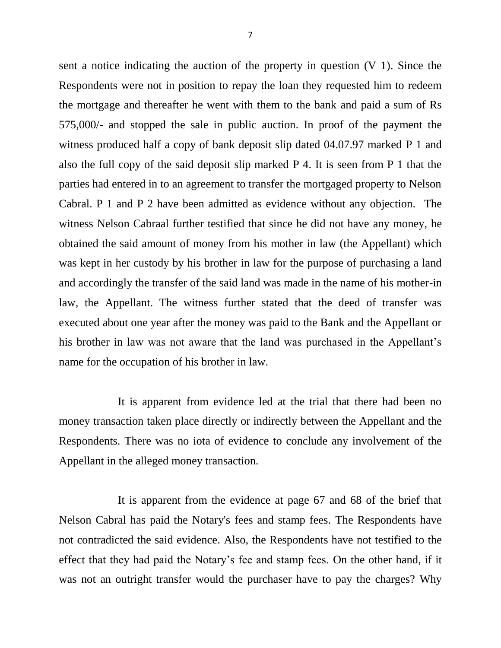sent a notice indicating the auction of the property in question (V 1). Since the Respondents were not in position to repay the loan they requested him to redeem the mortgage and thereafter he went with them to the bank and paid a sum of Rs 575,000/- and stopped the sale in public auction. In proof of the payment the witness produced half a copy of bank deposit slip dated 04.07.97 marked P 1 and also the full copy of the said deposit slip marked P 4. It is seen from P 1 that the parties had entered in to an agreement to transfer the mortgaged property to Nelson Cabral. P 1 and P 2 have been admitted as evidence without any objection. The witness Nelson Cabraal further testified that since he did not have any money, he obtained the said amount of money from his mother in law (the Appellant) which was kept in her custody by his brother in law for the purpose of purchasing a land and accordingly the transfer of the said land was made in the name of his mother-in law, the Appellant. The witness further stated that the deed of transfer was executed about one year after the money was paid to the Bank and the Appellant or his brother in law was not aware that the land was purchased in the Appellant's name for the occupation of his brother in law.

It is apparent from evidence led at the trial that there had been no money transaction taken place directly or indirectly between the Appellant and the Respondents. There was no iota of evidence to conclude any involvement of the Appellant in the alleged money transaction.

It is apparent from the evidence at page 67 and 68 of the brief that Nelson Cabral has paid the Notary's fees and stamp fees. The Respondents have not contradicted the said evidence. Also, the Respondents have not testified to the effect that they had paid the Notary's fee and stamp fees. On the other hand, if it was not an outright transfer would the purchaser have to pay the charges? Why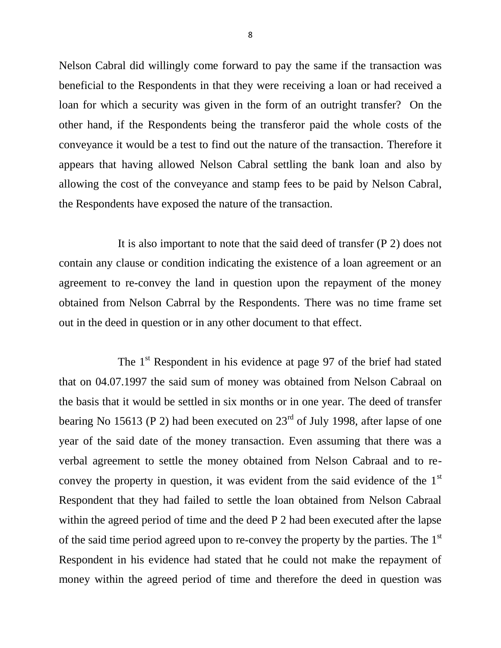Nelson Cabral did willingly come forward to pay the same if the transaction was beneficial to the Respondents in that they were receiving a loan or had received a loan for which a security was given in the form of an outright transfer? On the other hand, if the Respondents being the transferor paid the whole costs of the conveyance it would be a test to find out the nature of the transaction. Therefore it appears that having allowed Nelson Cabral settling the bank loan and also by allowing the cost of the conveyance and stamp fees to be paid by Nelson Cabral, the Respondents have exposed the nature of the transaction.

It is also important to note that the said deed of transfer (P 2) does not contain any clause or condition indicating the existence of a loan agreement or an agreement to re-convey the land in question upon the repayment of the money obtained from Nelson Cabrral by the Respondents. There was no time frame set out in the deed in question or in any other document to that effect.

The  $1<sup>st</sup>$  Respondent in his evidence at page 97 of the brief had stated that on 04.07.1997 the said sum of money was obtained from Nelson Cabraal on the basis that it would be settled in six months or in one year. The deed of transfer bearing No 15613 (P 2) had been executed on  $23<sup>rd</sup>$  of July 1998, after lapse of one year of the said date of the money transaction. Even assuming that there was a verbal agreement to settle the money obtained from Nelson Cabraal and to reconvey the property in question, it was evident from the said evidence of the  $1<sup>st</sup>$ Respondent that they had failed to settle the loan obtained from Nelson Cabraal within the agreed period of time and the deed P 2 had been executed after the lapse of the said time period agreed upon to re-convey the property by the parties. The 1st Respondent in his evidence had stated that he could not make the repayment of money within the agreed period of time and therefore the deed in question was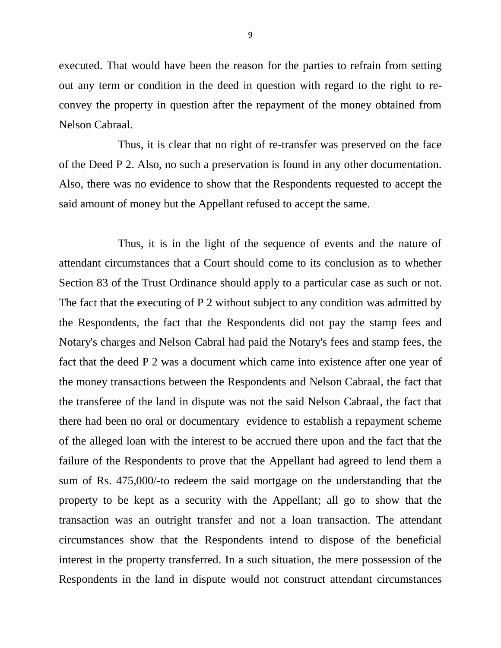executed. That would have been the reason for the parties to refrain from setting out any term or condition in the deed in question with regard to the right to reconvey the property in question after the repayment of the money obtained from Nelson Cabraal.

Thus, it is clear that no right of re-transfer was preserved on the face of the Deed P 2. Also, no such a preservation is found in any other documentation. Also, there was no evidence to show that the Respondents requested to accept the said amount of money but the Appellant refused to accept the same.

Thus, it is in the light of the sequence of events and the nature of attendant circumstances that a Court should come to its conclusion as to whether Section 83 of the Trust Ordinance should apply to a particular case as such or not. The fact that the executing of P 2 without subject to any condition was admitted by the Respondents, the fact that the Respondents did not pay the stamp fees and Notary's charges and Nelson Cabral had paid the Notary's fees and stamp fees, the fact that the deed P 2 was a document which came into existence after one year of the money transactions between the Respondents and Nelson Cabraal, the fact that the transferee of the land in dispute was not the said Nelson Cabraal, the fact that there had been no oral or documentary evidence to establish a repayment scheme of the alleged loan with the interest to be accrued there upon and the fact that the failure of the Respondents to prove that the Appellant had agreed to lend them a sum of Rs. 475,000/-to redeem the said mortgage on the understanding that the property to be kept as a security with the Appellant; all go to show that the transaction was an outright transfer and not a loan transaction. The attendant circumstances show that the Respondents intend to dispose of the beneficial interest in the property transferred. In a such situation, the mere possession of the Respondents in the land in dispute would not construct attendant circumstances